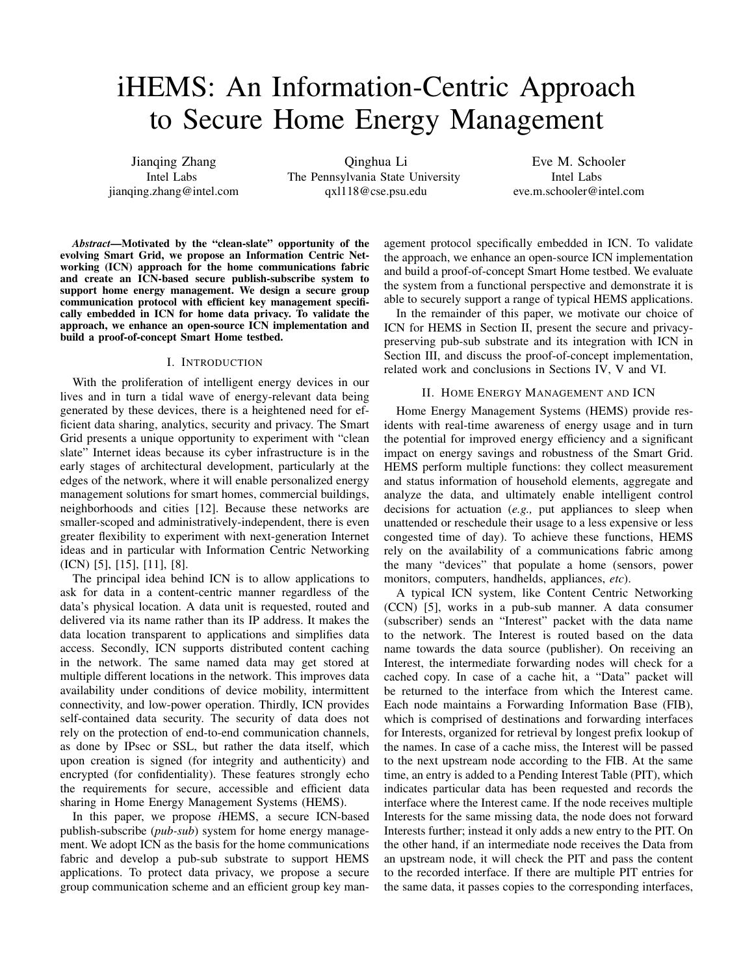# iHEMS: An Information-Centric Approach to Secure Home Energy Management

Jianqing Zhang Intel Labs jianqing.zhang@intel.com

Qinghua Li The Pennsylvania State University qxl118@cse.psu.edu

Eve M. Schooler Intel Labs eve.m.schooler@intel.com

*Abstract*—Motivated by the "clean-slate" opportunity of the evolving Smart Grid, we propose an Information Centric Networking (ICN) approach for the home communications fabric and create an ICN-based secure publish-subscribe system to support home energy management. We design a secure group communication protocol with efficient key management specifically embedded in ICN for home data privacy. To validate the approach, we enhance an open-source ICN implementation and build a proof-of-concept Smart Home testbed.

#### I. INTRODUCTION

With the proliferation of intelligent energy devices in our lives and in turn a tidal wave of energy-relevant data being generated by these devices, there is a heightened need for efficient data sharing, analytics, security and privacy. The Smart Grid presents a unique opportunity to experiment with "clean slate" Internet ideas because its cyber infrastructure is in the early stages of architectural development, particularly at the edges of the network, where it will enable personalized energy management solutions for smart homes, commercial buildings, neighborhoods and cities [12]. Because these networks are smaller-scoped and administratively-independent, there is even greater flexibility to experiment with next-generation Internet ideas and in particular with Information Centric Networking (ICN) [5], [15], [11], [8].

The principal idea behind ICN is to allow applications to ask for data in a content-centric manner regardless of the data's physical location. A data unit is requested, routed and delivered via its name rather than its IP address. It makes the data location transparent to applications and simplifies data access. Secondly, ICN supports distributed content caching in the network. The same named data may get stored at multiple different locations in the network. This improves data availability under conditions of device mobility, intermittent connectivity, and low-power operation. Thirdly, ICN provides self-contained data security. The security of data does not rely on the protection of end-to-end communication channels, as done by IPsec or SSL, but rather the data itself, which upon creation is signed (for integrity and authenticity) and encrypted (for confidentiality). These features strongly echo the requirements for secure, accessible and efficient data sharing in Home Energy Management Systems (HEMS).

In this paper, we propose *i*HEMS, a secure ICN-based publish-subscribe (*pub-sub*) system for home energy management. We adopt ICN as the basis for the home communications fabric and develop a pub-sub substrate to support HEMS applications. To protect data privacy, we propose a secure group communication scheme and an efficient group key management protocol specifically embedded in ICN. To validate the approach, we enhance an open-source ICN implementation and build a proof-of-concept Smart Home testbed. We evaluate the system from a functional perspective and demonstrate it is able to securely support a range of typical HEMS applications.

In the remainder of this paper, we motivate our choice of ICN for HEMS in Section II, present the secure and privacypreserving pub-sub substrate and its integration with ICN in Section III, and discuss the proof-of-concept implementation, related work and conclusions in Sections IV, V and VI.

## II. HOME ENERGY MANAGEMENT AND ICN

Home Energy Management Systems (HEMS) provide residents with real-time awareness of energy usage and in turn the potential for improved energy efficiency and a significant impact on energy savings and robustness of the Smart Grid. HEMS perform multiple functions: they collect measurement and status information of household elements, aggregate and analyze the data, and ultimately enable intelligent control decisions for actuation (*e.g.,* put appliances to sleep when unattended or reschedule their usage to a less expensive or less congested time of day). To achieve these functions, HEMS rely on the availability of a communications fabric among the many "devices" that populate a home (sensors, power monitors, computers, handhelds, appliances, *etc*).

A typical ICN system, like Content Centric Networking (CCN) [5], works in a pub-sub manner. A data consumer (subscriber) sends an "Interest" packet with the data name to the network. The Interest is routed based on the data name towards the data source (publisher). On receiving an Interest, the intermediate forwarding nodes will check for a cached copy. In case of a cache hit, a "Data" packet will be returned to the interface from which the Interest came. Each node maintains a Forwarding Information Base (FIB), which is comprised of destinations and forwarding interfaces for Interests, organized for retrieval by longest prefix lookup of the names. In case of a cache miss, the Interest will be passed to the next upstream node according to the FIB. At the same time, an entry is added to a Pending Interest Table (PIT), which indicates particular data has been requested and records the interface where the Interest came. If the node receives multiple Interests for the same missing data, the node does not forward Interests further; instead it only adds a new entry to the PIT. On the other hand, if an intermediate node receives the Data from an upstream node, it will check the PIT and pass the content to the recorded interface. If there are multiple PIT entries for the same data, it passes copies to the corresponding interfaces,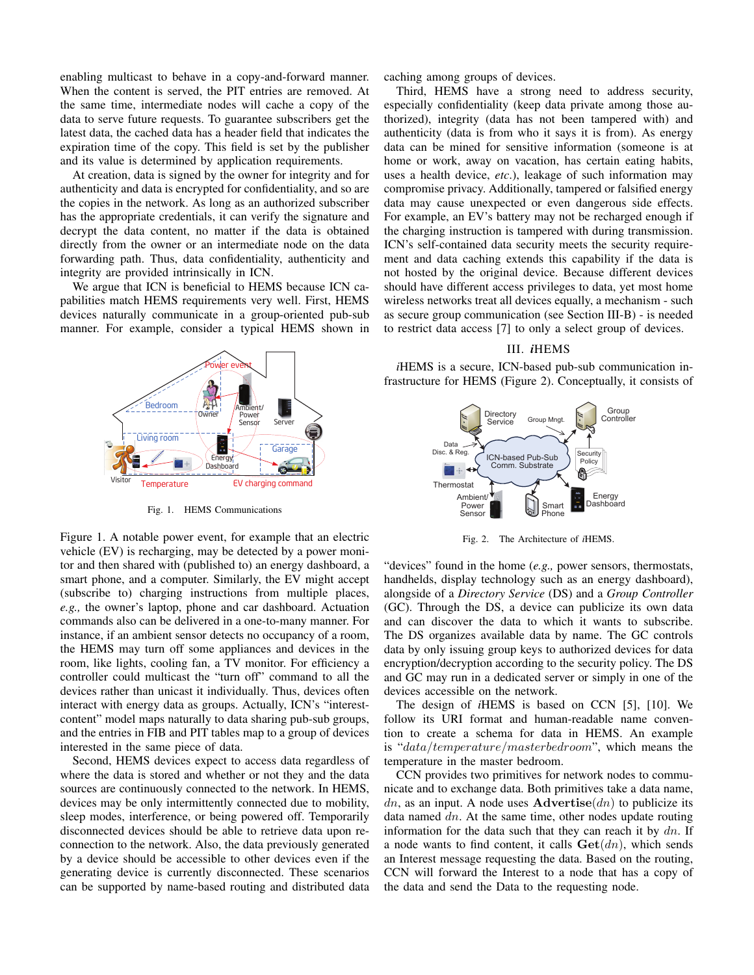enabling multicast to behave in a copy-and-forward manner. When the content is served, the PIT entries are removed. At the same time, intermediate nodes will cache a copy of the data to serve future requests. To guarantee subscribers get the latest data, the cached data has a header field that indicates the expiration time of the copy. This field is set by the publisher and its value is determined by application requirements.

At creation, data is signed by the owner for integrity and for authenticity and data is encrypted for confidentiality, and so are the copies in the network. As long as an authorized subscriber has the appropriate credentials, it can verify the signature and decrypt the data content, no matter if the data is obtained directly from the owner or an intermediate node on the data forwarding path. Thus, data confidentiality, authenticity and integrity are provided intrinsically in ICN.

We argue that ICN is beneficial to HEMS because ICN capabilities match HEMS requirements very well. First, HEMS devices naturally communicate in a group-oriented pub-sub manner. For example, consider a typical HEMS shown in



Fig. 1. HEMS Communications

Figure 1. A notable power event, for example that an electric vehicle (EV) is recharging, may be detected by a power monitor and then shared with (published to) an energy dashboard, a smart phone, and a computer. Similarly, the EV might accept (subscribe to) charging instructions from multiple places, *e.g.,* the owner's laptop, phone and car dashboard. Actuation commands also can be delivered in a one-to-many manner. For instance, if an ambient sensor detects no occupancy of a room, the HEMS may turn off some appliances and devices in the room, like lights, cooling fan, a TV monitor. For efficiency a controller could multicast the "turn off" command to all the devices rather than unicast it individually. Thus, devices often interact with energy data as groups. Actually, ICN's "interestcontent" model maps naturally to data sharing pub-sub groups, and the entries in FIB and PIT tables map to a group of devices interested in the same piece of data.

Second, HEMS devices expect to access data regardless of where the data is stored and whether or not they and the data sources are continuously connected to the network. In HEMS, devices may be only intermittently connected due to mobility, sleep modes, interference, or being powered off. Temporarily disconnected devices should be able to retrieve data upon reconnection to the network. Also, the data previously generated by a device should be accessible to other devices even if the generating device is currently disconnected. These scenarios can be supported by name-based routing and distributed data

caching among groups of devices.

Third, HEMS have a strong need to address security, especially confidentiality (keep data private among those authorized), integrity (data has not been tampered with) and authenticity (data is from who it says it is from). As energy data can be mined for sensitive information (someone is at home or work, away on vacation, has certain eating habits, uses a health device, *etc*.), leakage of such information may compromise privacy. Additionally, tampered or falsified energy data may cause unexpected or even dangerous side effects. For example, an EV's battery may not be recharged enough if the charging instruction is tampered with during transmission. ICN's self-contained data security meets the security requirement and data caching extends this capability if the data is not hosted by the original device. Because different devices should have different access privileges to data, yet most home wireless networks treat all devices equally, a mechanism - such as secure group communication (see Section III-B) - is needed to restrict data access [7] to only a select group of devices.

# III. *i*HEMS

*i*HEMS is a secure, ICN-based pub-sub communication infrastructure for HEMS (Figure 2). Conceptually, it consists of



Fig. 2. The Architecture of *i*HEMS.

"devices" found in the home (*e.g.,* power sensors, thermostats, handhelds, display technology such as an energy dashboard), alongside of a *Directory Service* (DS) and a *Group Controller* (GC). Through the DS, a device can publicize its own data and can discover the data to which it wants to subscribe. The DS organizes available data by name. The GC controls data by only issuing group keys to authorized devices for data encryption/decryption according to the security policy. The DS and GC may run in a dedicated server or simply in one of the devices accessible on the network.

The design of *i*HEMS is based on CCN [5], [10]. We follow its URI format and human-readable name convention to create a schema for data in HEMS. An example is "data/temperature/masterbedroom", which means the temperature in the master bedroom.

CCN provides two primitives for network nodes to communicate and to exchange data. Both primitives take a data name, dn, as an input. A node uses  $\mathbf{Advertise}(dn)$  to publicize its data named  $dn$ . At the same time, other nodes update routing information for the data such that they can reach it by  $dn$ . If a node wants to find content, it calls  $\mathbf{Get}(dn)$ , which sends an Interest message requesting the data. Based on the routing, CCN will forward the Interest to a node that has a copy of the data and send the Data to the requesting node.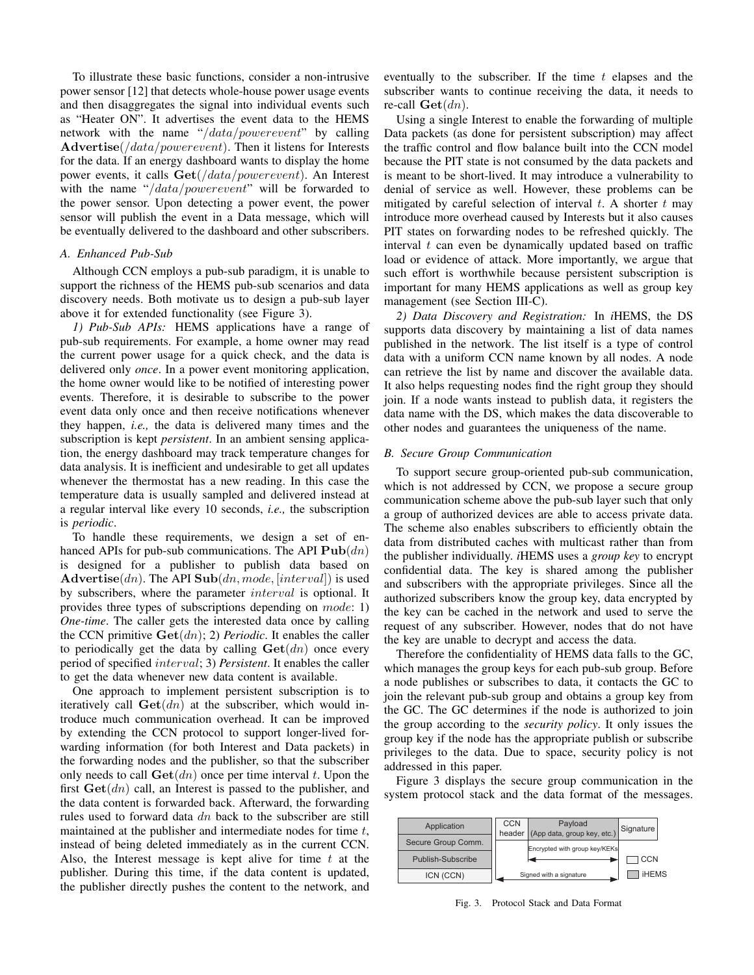To illustrate these basic functions, consider a non-intrusive power sensor [12] that detects whole-house power usage events and then disaggregates the signal into individual events such as "Heater ON". It advertises the event data to the HEMS network with the name "/data/powerevent" by calling Advertise( $\frac{data{powervent}}{R}$ ). Then it listens for Interests for the data. If an energy dashboard wants to display the home power events, it calls Get(/data/powerevent). An Interest with the name "/ $data/power event$ " will be forwarded to the power sensor. Upon detecting a power event, the power sensor will publish the event in a Data message, which will be eventually delivered to the dashboard and other subscribers.

## *A. Enhanced Pub-Sub*

Although CCN employs a pub-sub paradigm, it is unable to support the richness of the HEMS pub-sub scenarios and data discovery needs. Both motivate us to design a pub-sub layer above it for extended functionality (see Figure 3).

*1) Pub-Sub APIs:* HEMS applications have a range of pub-sub requirements. For example, a home owner may read the current power usage for a quick check, and the data is delivered only *once*. In a power event monitoring application, the home owner would like to be notified of interesting power events. Therefore, it is desirable to subscribe to the power event data only once and then receive notifications whenever they happen, *i.e.,* the data is delivered many times and the subscription is kept *persistent*. In an ambient sensing application, the energy dashboard may track temperature changes for data analysis. It is inefficient and undesirable to get all updates whenever the thermostat has a new reading. In this case the temperature data is usually sampled and delivered instead at a regular interval like every 10 seconds, *i.e.,* the subscription is *periodic*.

To handle these requirements, we design a set of enhanced APIs for pub-sub communications. The API  $\text{Pub}(dn)$ is designed for a publisher to publish data based on Advertise(dn). The API Sub(dn, mode, [interval]) is used by subscribers, where the parameter *interval* is optional. It provides three types of subscriptions depending on mode: 1) *One-time*. The caller gets the interested data once by calling the CCN primitive  $\text{Get}(dn)$ ; 2) *Periodic*. It enables the caller to periodically get the data by calling  $\text{Get}(dn)$  once every period of specified interval; 3) *Persistent*. It enables the caller to get the data whenever new data content is available.

One approach to implement persistent subscription is to iteratively call  $\det(dn)$  at the subscriber, which would introduce much communication overhead. It can be improved by extending the CCN protocol to support longer-lived forwarding information (for both Interest and Data packets) in the forwarding nodes and the publisher, so that the subscriber only needs to call  $\det(dn)$  once per time interval t. Upon the first  $\text{Get}(dn)$  call, an Interest is passed to the publisher, and the data content is forwarded back. Afterward, the forwarding rules used to forward data  $dn$  back to the subscriber are still maintained at the publisher and intermediate nodes for time  $t$ , instead of being deleted immediately as in the current CCN. Also, the Interest message is kept alive for time  $t$  at the publisher. During this time, if the data content is updated, the publisher directly pushes the content to the network, and eventually to the subscriber. If the time  $t$  elapses and the subscriber wants to continue receiving the data, it needs to re-call  $\mathbf{Get}(dn)$ .

Using a single Interest to enable the forwarding of multiple Data packets (as done for persistent subscription) may affect the traffic control and flow balance built into the CCN model because the PIT state is not consumed by the data packets and is meant to be short-lived. It may introduce a vulnerability to denial of service as well. However, these problems can be mitigated by careful selection of interval  $t$ . A shorter  $t$  may introduce more overhead caused by Interests but it also causes PIT states on forwarding nodes to be refreshed quickly. The interval  $t$  can even be dynamically updated based on traffic load or evidence of attack. More importantly, we argue that such effort is worthwhile because persistent subscription is important for many HEMS applications as well as group key management (see Section III-C).

*2) Data Discovery and Registration:* In *i*HEMS, the DS supports data discovery by maintaining a list of data names published in the network. The list itself is a type of control data with a uniform CCN name known by all nodes. A node can retrieve the list by name and discover the available data. It also helps requesting nodes find the right group they should join. If a node wants instead to publish data, it registers the data name with the DS, which makes the data discoverable to other nodes and guarantees the uniqueness of the name.

#### *B. Secure Group Communication*

To support secure group-oriented pub-sub communication, which is not addressed by CCN, we propose a secure group communication scheme above the pub-sub layer such that only a group of authorized devices are able to access private data. The scheme also enables subscribers to efficiently obtain the data from distributed caches with multicast rather than from the publisher individually. *i*HEMS uses a *group key* to encrypt confidential data. The key is shared among the publisher and subscribers with the appropriate privileges. Since all the authorized subscribers know the group key, data encrypted by the key can be cached in the network and used to serve the request of any subscriber. However, nodes that do not have the key are unable to decrypt and access the data.

Therefore the confidentiality of HEMS data falls to the GC, which manages the group keys for each pub-sub group. Before a node publishes or subscribes to data, it contacts the GC to join the relevant pub-sub group and obtains a group key from the GC. The GC determines if the node is authorized to join the group according to the *security policy*. It only issues the group key if the node has the appropriate publish or subscribe privileges to the data. Due to space, security policy is not addressed in this paper.

Figure 3 displays the secure group communication in the system protocol stack and the data format of the messages.



Fig. 3. Protocol Stack and Data Format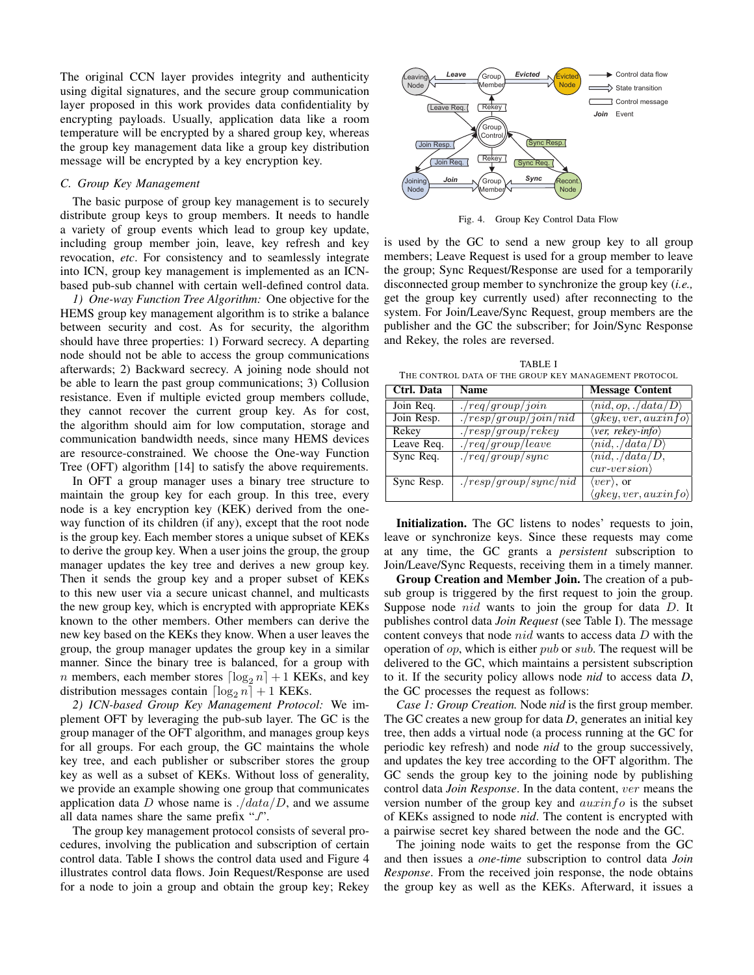The original CCN layer provides integrity and authenticity using digital signatures, and the secure group communication layer proposed in this work provides data confidentiality by encrypting payloads. Usually, application data like a room temperature will be encrypted by a shared group key, whereas the group key management data like a group key distribution message will be encrypted by a key encryption key.

### *C. Group Key Management*

The basic purpose of group key management is to securely distribute group keys to group members. It needs to handle a variety of group events which lead to group key update, including group member join, leave, key refresh and key revocation, *etc*. For consistency and to seamlessly integrate into ICN, group key management is implemented as an ICNbased pub-sub channel with certain well-defined control data.

*1) One-way Function Tree Algorithm:* One objective for the HEMS group key management algorithm is to strike a balance between security and cost. As for security, the algorithm should have three properties: 1) Forward secrecy. A departing node should not be able to access the group communications afterwards; 2) Backward secrecy. A joining node should not be able to learn the past group communications; 3) Collusion resistance. Even if multiple evicted group members collude, they cannot recover the current group key. As for cost, the algorithm should aim for low computation, storage and communication bandwidth needs, since many HEMS devices are resource-constrained. We choose the One-way Function Tree (OFT) algorithm [14] to satisfy the above requirements.

In OFT a group manager uses a binary tree structure to maintain the group key for each group. In this tree, every node is a key encryption key (KEK) derived from the oneway function of its children (if any), except that the root node is the group key. Each member stores a unique subset of KEKs to derive the group key. When a user joins the group, the group manager updates the key tree and derives a new group key. Then it sends the group key and a proper subset of KEKs to this new user via a secure unicast channel, and multicasts the new group key, which is encrypted with appropriate KEKs known to the other members. Other members can derive the new key based on the KEKs they know. When a user leaves the group, the group manager updates the group key in a similar manner. Since the binary tree is balanced, for a group with *n* members, each member stores  $\lceil \log_2 n \rceil + 1$  KEKs, and key distribution messages contain  $\lceil \log_2 n \rceil + 1$  KEKs.

*2) ICN-based Group Key Management Protocol:* We implement OFT by leveraging the pub-sub layer. The GC is the group manager of the OFT algorithm, and manages group keys for all groups. For each group, the GC maintains the whole key tree, and each publisher or subscriber stores the group key as well as a subset of KEKs. Without loss of generality, we provide an example showing one group that communicates application data D whose name is  $\theta$  /data/D, and we assume all data names share the same prefix "./".

The group key management protocol consists of several procedures, involving the publication and subscription of certain control data. Table I shows the control data used and Figure 4 illustrates control data flows. Join Request/Response are used for a node to join a group and obtain the group key; Rekey



Fig. 4. Group Key Control Data Flow

is used by the GC to send a new group key to all group members; Leave Request is used for a group member to leave the group; Sync Request/Response are used for a temporarily disconnected group member to synchronize the group key (*i.e.,* get the group key currently used) after reconnecting to the system. For Join/Leave/Sync Request, group members are the publisher and the GC the subscriber; for Join/Sync Response and Rekey, the roles are reversed.

TABLE I THE CONTROL DATA OF THE GROUP KEY MANAGEMENT PROTOCOL

| Ctrl. Data | Name                  | <b>Message Content</b>                                      |
|------------|-----------------------|-------------------------------------------------------------|
| Join Req.  | ./req/group/join      | $\langle nid, op, . \rangle \langle data \rangle D \rangle$ |
| Join Resp. | ./resp/group/join/nid | $\langle gkey,ver, auxinfo \rangle$                         |
| Rekey      | $1$ resp/group/rekey  | $\langle ver, \ rekey\text{-}info \rangle$                  |
| Leave Req. | $.$ /req/group/leave  | $\langle nid, ./data/D \rangle$                             |
| Sync Req.  | ./req/group/sync      | $\langle nid, ./data/D,$                                    |
|            |                       | $cur-version$                                               |
| Sync Resp. | ./resp/group/sync/nid | $\langle ver \rangle$ , or                                  |
|            |                       | $\langle gkey,ver, auxinfo \rangle  $                       |

Initialization. The GC listens to nodes' requests to join, leave or synchronize keys. Since these requests may come at any time, the GC grants a *persistent* subscription to Join/Leave/Sync Requests, receiving them in a timely manner.

Group Creation and Member Join. The creation of a pubsub group is triggered by the first request to join the group. Suppose node  $nid$  wants to join the group for data  $D$ . It publishes control data *Join Request* (see Table I). The message content conveys that node  $nid$  wants to access data  $D$  with the operation of op, which is either pub or sub. The request will be delivered to the GC, which maintains a persistent subscription to it. If the security policy allows node *nid* to access data *D*, the GC processes the request as follows:

*Case 1: Group Creation.* Node *nid* is the first group member. The GC creates a new group for data *D*, generates an initial key tree, then adds a virtual node (a process running at the GC for periodic key refresh) and node *nid* to the group successively, and updates the key tree according to the OFT algorithm. The GC sends the group key to the joining node by publishing control data *Join Response*. In the data content, ver means the version number of the group key and  $auxinfo$  is the subset of KEKs assigned to node *nid*. The content is encrypted with a pairwise secret key shared between the node and the GC.

The joining node waits to get the response from the GC and then issues a *one-time* subscription to control data *Join Response*. From the received join response, the node obtains the group key as well as the KEKs. Afterward, it issues a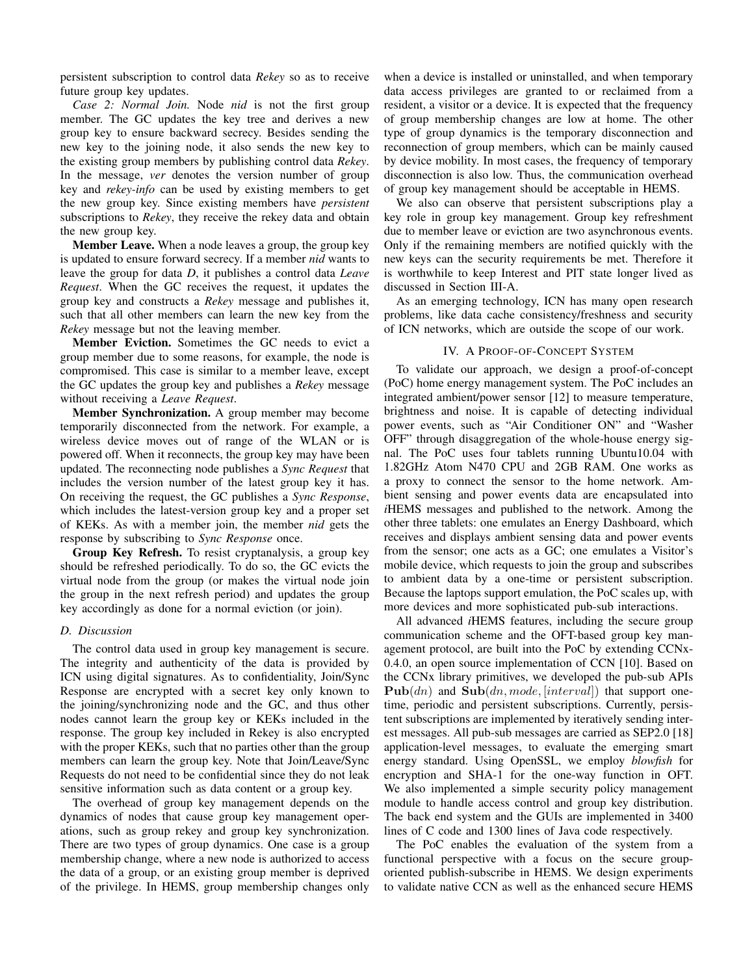persistent subscription to control data *Rekey* so as to receive future group key updates.

*Case 2: Normal Join.* Node *nid* is not the first group member. The GC updates the key tree and derives a new group key to ensure backward secrecy. Besides sending the new key to the joining node, it also sends the new key to the existing group members by publishing control data *Rekey*. In the message, *ver* denotes the version number of group key and *rekey-info* can be used by existing members to get the new group key. Since existing members have *persistent* subscriptions to *Rekey*, they receive the rekey data and obtain the new group key.

Member Leave. When a node leaves a group, the group key is updated to ensure forward secrecy. If a member *nid* wants to leave the group for data *D*, it publishes a control data *Leave Request*. When the GC receives the request, it updates the group key and constructs a *Rekey* message and publishes it, such that all other members can learn the new key from the *Rekey* message but not the leaving member.

Member Eviction. Sometimes the GC needs to evict a group member due to some reasons, for example, the node is compromised. This case is similar to a member leave, except the GC updates the group key and publishes a *Rekey* message without receiving a *Leave Request*.

Member Synchronization. A group member may become temporarily disconnected from the network. For example, a wireless device moves out of range of the WLAN or is powered off. When it reconnects, the group key may have been updated. The reconnecting node publishes a *Sync Request* that includes the version number of the latest group key it has. On receiving the request, the GC publishes a *Sync Response*, which includes the latest-version group key and a proper set of KEKs. As with a member join, the member *nid* gets the response by subscribing to *Sync Response* once.

Group Key Refresh. To resist cryptanalysis, a group key should be refreshed periodically. To do so, the GC evicts the virtual node from the group (or makes the virtual node join the group in the next refresh period) and updates the group key accordingly as done for a normal eviction (or join).

# *D. Discussion*

The control data used in group key management is secure. The integrity and authenticity of the data is provided by ICN using digital signatures. As to confidentiality, Join/Sync Response are encrypted with a secret key only known to the joining/synchronizing node and the GC, and thus other nodes cannot learn the group key or KEKs included in the response. The group key included in Rekey is also encrypted with the proper KEKs, such that no parties other than the group members can learn the group key. Note that Join/Leave/Sync Requests do not need to be confidential since they do not leak sensitive information such as data content or a group key.

The overhead of group key management depends on the dynamics of nodes that cause group key management operations, such as group rekey and group key synchronization. There are two types of group dynamics. One case is a group membership change, where a new node is authorized to access the data of a group, or an existing group member is deprived of the privilege. In HEMS, group membership changes only when a device is installed or uninstalled, and when temporary data access privileges are granted to or reclaimed from a resident, a visitor or a device. It is expected that the frequency of group membership changes are low at home. The other type of group dynamics is the temporary disconnection and reconnection of group members, which can be mainly caused by device mobility. In most cases, the frequency of temporary disconnection is also low. Thus, the communication overhead of group key management should be acceptable in HEMS.

We also can observe that persistent subscriptions play a key role in group key management. Group key refreshment due to member leave or eviction are two asynchronous events. Only if the remaining members are notified quickly with the new keys can the security requirements be met. Therefore it is worthwhile to keep Interest and PIT state longer lived as discussed in Section III-A.

As an emerging technology, ICN has many open research problems, like data cache consistency/freshness and security of ICN networks, which are outside the scope of our work.

## IV. A PROOF-OF-CONCEPT SYSTEM

To validate our approach, we design a proof-of-concept (PoC) home energy management system. The PoC includes an integrated ambient/power sensor [12] to measure temperature, brightness and noise. It is capable of detecting individual power events, such as "Air Conditioner ON" and "Washer OFF" through disaggregation of the whole-house energy signal. The PoC uses four tablets running Ubuntu10.04 with 1.82GHz Atom N470 CPU and 2GB RAM. One works as a proxy to connect the sensor to the home network. Ambient sensing and power events data are encapsulated into *i*HEMS messages and published to the network. Among the other three tablets: one emulates an Energy Dashboard, which receives and displays ambient sensing data and power events from the sensor; one acts as a GC; one emulates a Visitor's mobile device, which requests to join the group and subscribes to ambient data by a one-time or persistent subscription. Because the laptops support emulation, the PoC scales up, with more devices and more sophisticated pub-sub interactions.

All advanced *i*HEMS features, including the secure group communication scheme and the OFT-based group key management protocol, are built into the PoC by extending CCNx-0.4.0, an open source implementation of CCN [10]. Based on the CCNx library primitives, we developed the pub-sub APIs  $\text{Pub}(dn)$  and  $\text{Sub}(dn, mode, [interval])$  that support onetime, periodic and persistent subscriptions. Currently, persistent subscriptions are implemented by iteratively sending interest messages. All pub-sub messages are carried as SEP2.0 [18] application-level messages, to evaluate the emerging smart energy standard. Using OpenSSL, we employ *blowfish* for encryption and SHA-1 for the one-way function in OFT. We also implemented a simple security policy management module to handle access control and group key distribution. The back end system and the GUIs are implemented in 3400 lines of C code and 1300 lines of Java code respectively.

The PoC enables the evaluation of the system from a functional perspective with a focus on the secure grouporiented publish-subscribe in HEMS. We design experiments to validate native CCN as well as the enhanced secure HEMS